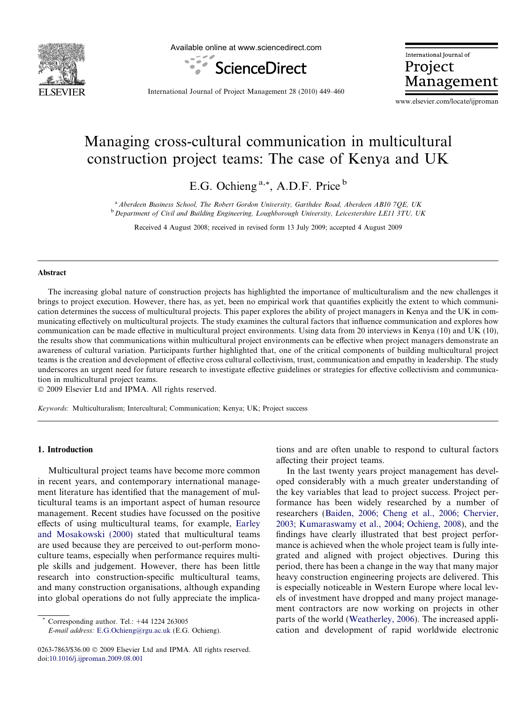

Available online at www.sciencedirect.com



International Journal of Project Management

International Journal of Project Management 28 (2010) 449–460

www.elsevier.com/locate/ijproman

## Managing cross-cultural communication in multicultural construction project teams: The case of Kenya and UK

E.G. Ochieng  $a$ <sup>\*</sup>, A.D.F. Price b

<sup>a</sup> Aberdeen Business School, The Robert Gordon University, Garthdee Road, Aberdeen AB10 7QE, UK <sup>b</sup> Department of Civil and Building Engineering, Loughborough University, Leicestershire LE11 3TU, UK

Received 4 August 2008; received in revised form 13 July 2009; accepted 4 August 2009

## Abstract

The increasing global nature of construction projects has highlighted the importance of multiculturalism and the new challenges it brings to project execution. However, there has, as yet, been no empirical work that quantifies explicitly the extent to which communication determines the success of multicultural projects. This paper explores the ability of project managers in Kenya and the UK in communicating effectively on multicultural projects. The study examines the cultural factors that influence communication and explores how communication can be made effective in multicultural project environments. Using data from 20 interviews in Kenya (10) and UK (10), the results show that communications within multicultural project environments can be effective when project managers demonstrate an awareness of cultural variation. Participants further highlighted that, one of the critical components of building multicultural project teams is the creation and development of effective cross cultural collectivism, trust, communication and empathy in leadership. The study underscores an urgent need for future research to investigate effective guidelines or strategies for effective collectivism and communication in multicultural project teams.

 $© 2009 Elsevier Ltd and IPMA. All rights reserved.$ 

Keywords: Multiculturalism; Intercultural; Communication; Kenya; UK; Project success

## 1. Introduction

Multicultural project teams have become more common in recent years, and contemporary international management literature has identified that the management of multicultural teams is an important aspect of human resource management. Recent studies have focussed on the positive effects of using multicultural teams, for example, [Earley](#page--1-0) [and Mosakowski \(2000\)](#page--1-0) stated that multicultural teams are used because they are perceived to out-perform monoculture teams, especially when performance requires multiple skills and judgement. However, there has been little research into construction-specific multicultural teams, and many construction organisations, although expanding into global operations do not fully appreciate the implica-

Corresponding author. Tel.:  $+44$  1224 263005

E-mail address: [E.G.Ochieng@rgu.ac.uk](mailto:E.G.Ochieng@rgu.ac.uk) (E.G. Ochieng).

tions and are often unable to respond to cultural factors affecting their project teams.

In the last twenty years project management has developed considerably with a much greater understanding of the key variables that lead to project success. Project performance has been widely researched by a number of researchers [\(Baiden, 2006; Cheng et al., 2006; Chervier,](#page--1-0) [2003; Kumaraswamy et al., 2004; Ochieng, 2008\)](#page--1-0), and the findings have clearly illustrated that best project performance is achieved when the whole project team is fully integrated and aligned with project objectives. During this period, there has been a change in the way that many major heavy construction engineering projects are delivered. This is especially noticeable in Western Europe where local levels of investment have dropped and many project management contractors are now working on projects in other parts of the world ([Weatherley, 2006\)](#page--1-0). The increased application and development of rapid worldwide electronic

<sup>0263-7863/\$36.00 © 2009</sup> Elsevier Ltd and IPMA. All rights reserved. doi:[10.1016/j.ijproman.2009.08.001](http://dx.doi.org/10.1016/j.ijproman.2009.08.001)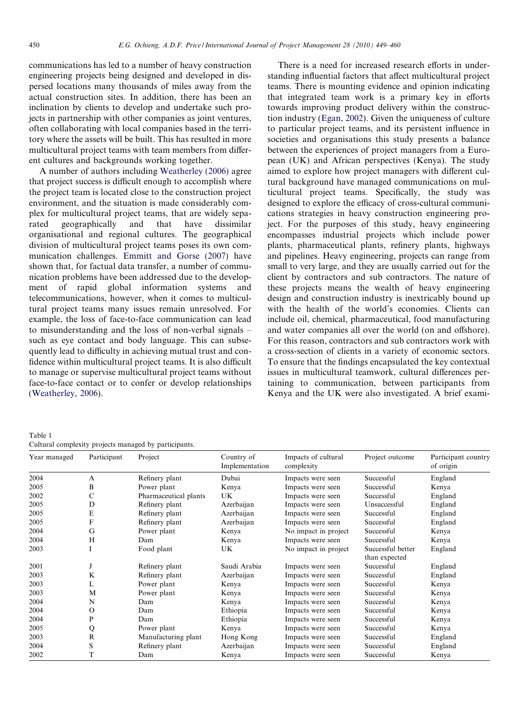communications has led to a number of heavy construction engineering projects being designed and developed in dispersed locations many thousands of miles away from the actual construction sites. In addition, there has been an inclination by clients to develop and undertake such projects in partnership with other companies as joint ventures, often collaborating with local companies based in the territory where the assets will be built. This has resulted in more multicultural project teams with team members from different cultures and backgrounds working together.

A number of authors including [Weatherley \(2006\)](#page--1-0) agree that project success is difficult enough to accomplish where the project team is located close to the construction project environment, and the situation is made considerably complex for multicultural project teams, that are widely separated geographically and that have dissimilar organisational and regional cultures. The geographical division of multicultural project teams poses its own communication challenges. [Emmitt and Gorse \(2007\)](#page--1-0) have shown that, for factual data transfer, a number of communication problems have been addressed due to the development of rapid global information systems and telecommunications, however, when it comes to multicultural project teams many issues remain unresolved. For example, the loss of face-to-face communication can lead to misunderstanding and the loss of non-verbal signals – such as eye contact and body language. This can subsequently lead to difficulty in achieving mutual trust and confidence within multicultural project teams. It is also difficult to manage or supervise multicultural project teams without face-to-face contact or to confer or develop relationships [\(Weatherley, 2006](#page--1-0)).

There is a need for increased research efforts in understanding influential factors that affect multicultural project teams. There is mounting evidence and opinion indicating that integrated team work is a primary key in efforts towards improving product delivery within the construction industry [\(Egan, 2002\)](#page--1-0). Given the uniqueness of culture to particular project teams, and its persistent influence in societies and organisations this study presents a balance between the experiences of project managers from a European (UK) and African perspectives (Kenya). The study aimed to explore how project managers with different cultural background have managed communications on multicultural project teams. Specifically, the study was designed to explore the efficacy of cross-cultural communications strategies in heavy construction engineering project. For the purposes of this study, heavy engineering encompasses industrial projects which include power plants, pharmaceutical plants, refinery plants, highways and pipelines. Heavy engineering, projects can range from small to very large, and they are usually carried out for the client by contractors and sub contractors. The nature of these projects means the wealth of heavy engineering design and construction industry is inextricably bound up with the health of the world's economies. Clients can include oil, chemical, pharmaceutical, food manufacturing and water companies all over the world (on and offshore). For this reason, contractors and sub contractors work with a cross-section of clients in a variety of economic sectors. To ensure that the findings encapsulated the key contextual issues in multicultural teamwork, cultural differences pertaining to communication, between participants from Kenya and the UK were also investigated. A brief exami-

Table 1 Cultural complexity projects managed by participants.

| Year managed | Participant  | Project               | Country of<br>Implementation | Impacts of cultural<br>complexity | Project outcome                    | Participant country<br>of origin |
|--------------|--------------|-----------------------|------------------------------|-----------------------------------|------------------------------------|----------------------------------|
| 2004         | A            | Refinery plant        | Dubai                        | Impacts were seen                 | Successful                         | England                          |
| 2005         | B            | Power plant           | Kenya                        | Impacts were seen                 | Successful                         | Kenya                            |
| 2002         | C            | Pharmaceutical plants | UK                           | Impacts were seen                 | Successful                         | England                          |
| 2005         | D            | Refinery plant        | Azerbaijan                   | Impacts were seen                 | Unsuccessful                       | England                          |
| 2005         | E            | Refinery plant        | Azerbaijan                   | Impacts were seen                 | Successful                         | England                          |
| 2005         | ${\bf F}$    | Refinery plant        | Azerbaijan                   | Impacts were seen                 | Successful                         | England                          |
| 2004         | G            | Power plant           | Kenya                        | No impact in project              | Successful                         | Kenya                            |
| 2004         | H            | Dam                   | Kenya                        | Impacts were seen                 | Successful                         | Kenya                            |
| 2003         | I            | Food plant            | UK                           | No impact in project              | Successful better<br>than expected | England                          |
| 2001         | J            | Refinery plant        | Saudi Arabia                 | Impacts were seen                 | Successful                         | England                          |
| 2003         | K            | Refinery plant        | Azerbaijan                   | Impacts were seen                 | Successful                         | England                          |
| 2003         | L            | Power plant           | Kenya                        | Impacts were seen                 | Successful                         | Kenya                            |
| 2003         | M            | Power plant           | Kenya                        | Impacts were seen                 | Successful                         | Kenya                            |
| 2004         | N            | Dam                   | Kenya                        | Impacts were seen                 | Successful                         | Kenya                            |
| 2004         | $\Omega$     | Dam                   | Ethiopia                     | Impacts were seen                 | Successful                         | Kenya                            |
| 2004         | P            | Dam                   | Ethiopia                     | Impacts were seen                 | Successful                         | Kenya                            |
| 2005         | Q            | Power plant           | Kenya                        | Impacts were seen                 | Successful                         | Kenya                            |
| 2003         | $\mathbb{R}$ | Manufacturing plant   | Hong Kong                    | Impacts were seen                 | Successful                         | England                          |
| 2004         | S            | Refinery plant        | Azerbaijan                   | Impacts were seen                 | Successful                         | England                          |
| 2002         | T            | Dam                   | Kenya                        | Impacts were seen                 | Successful                         | Kenya                            |